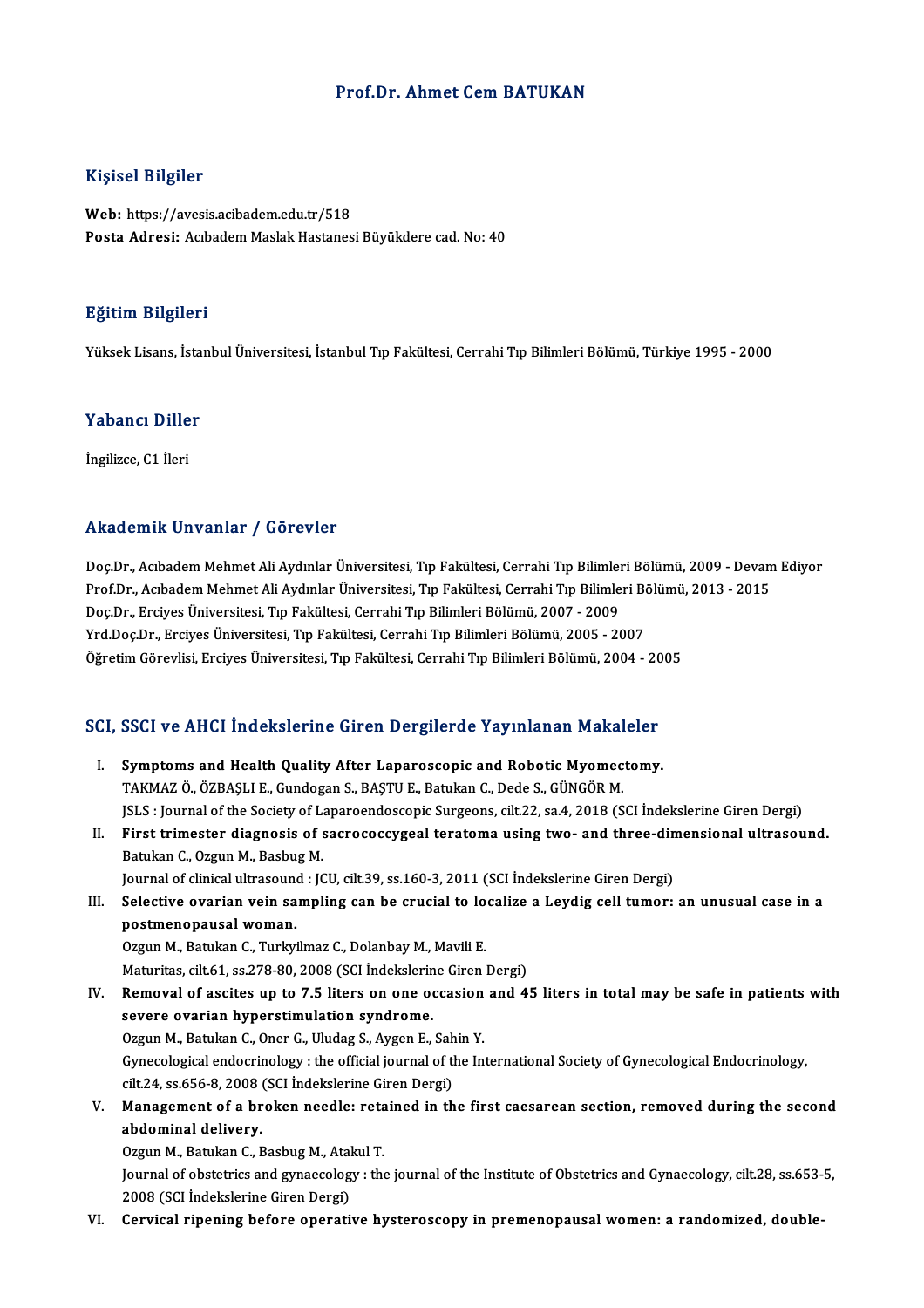## Prof.Dr. Ahmet CemBATUKAN

## Kişisel Bilgiler

Web: https://avesis.acibadem.edu.tr/518 Posta Adresi: Acıbadem Maslak Hastanesi Büyükdere cad. No: 40

### Eğitim Bilgileri

YüksekLisans, İstanbulÜniversitesi, İstanbulTıp Fakültesi,CerrahiTıpBilimleriBölümü,Türkiye 1995 -2000

### Yabancı Diller

İngilizce, C1 İleri

### Akademik Unvanlar / Görevler

Akademik Unvanlar / Görevler<br>Doç.Dr., Acıbadem Mehmet Ali Aydınlar Üniversitesi, Tıp Fakültesi, Cerrahi Tıp Bilimleri Bölümü, 2009 - Devam Ediyor<br>Praf Dr. Asıbadam Mehmet Ali Aydınlar Üniversitesi, Tıp Fakültesi, Cerrahi T rinddefirin Sirvannar 7 dörevler<br>Doç.Dr., Acıbadem Mehmet Ali Aydınlar Üniversitesi, Tıp Fakültesi, Cerrahi Tıp Bilimleri Bölümü, 2009 - Devan<br>Prof.Dr., Acıbadem Mehmet Ali Aydınlar Üniversitesi, Tıp Fakültesi, Cerrahi Tıp Doç.Dr., Acıbadem Mehmet Ali Aydınlar Üniversitesi, Tıp Fakültesi, Cerrahi Tıp Bilimler<br>Prof.Dr., Acıbadem Mehmet Ali Aydınlar Üniversitesi, Tıp Fakültesi, Cerrahi Tıp Bilimle<br>Doç.Dr., Erciyes Üniversitesi, Tıp Fakültesi, Prof.Dr., Acıbadem Mehmet Ali Aydınlar Üniversitesi, Tıp Fakültesi, Cerrahi Tıp Bilimleri Bölümer<br>Doç.Dr., Erciyes Üniversitesi, Tıp Fakültesi, Cerrahi Tıp Bilimleri Bölümü, 2007 - 2009<br>Yrd.Doç.Dr., Erciyes Üniversitesi, T Doç.Dr., Erciyes Üniversitesi, Tıp Fakültesi, Cerrahi Tıp Bilimleri Bölümü, 2007 - 2009<br>Yrd.Doç.Dr., Erciyes Üniversitesi, Tıp Fakültesi, Cerrahi Tıp Bilimleri Bölümü, 2005 - 2007<br>Öğretim Görevlisi, Erciyes Üniversitesi, T

# ogreum Goreviisi, Erciyes Oniversitesi, Tip Fakultesi, Cerrani Tip Bilimleri Bolumu, 2004 - 20<br>SCI, SSCI ve AHCI İndekslerine Giren Dergilerde Yayınlanan Makaleler

- CI, SSCI ve AHCI Indekslerine Giren Dergilerde Yayınlanan Makaleler<br>I. Symptoms and Health Quality After Laparoscopic and Robotic Myomectomy.<br>TAKMAZÖ ÖZPASLLE Cundogan S. PASTUE Patulan C. Dede S. CÜNCÖP M. I. Symptoms and Health Quality After Laparoscopic and Robotic Myomectomy.<br>TAKMAZ Ö., ÖZBAŞLI E., Gundogan S., BAŞTU E., Batukan C., Dede S., GÜNGÖR M. JSLS : Journal of the Society of Laparoendoscopic Surgeons, cilt. 22, sa.4, 2018 (SCI İndekslerine Giren Dergi) TAKMAZ Ö., ÖZBAŞLI E., Gundogan S., BAŞTU E., Batukan C., Dede S., GÜNGÖR M.<br>JSLS : Journal of the Society of Laparoendoscopic Surgeons, cilt.22, sa.4, 2018 (SCI İndekslerine Giren Dergi)<br>II. First trimester diagnosis of s
- Batukan C., Ozgun M., Basbug M.<br>Journal of clinical ultrasound : JCU, cilt.39, ss.160-3, 2011 (SCI İndekslerine Giren Dergi) First trimester diagnosis of sacrococcygeal teratoma using two- and three-din<br>Batukan C., Ozgun M., Basbug M.<br>Journal of clinical ultrasound : JCU, cilt.39, ss.160-3, 2011 (SCI İndekslerine Giren Dergi)<br>Selective evenian v

III. Selective ovarian vein sampling can be crucial to localize a Leydig cell tumor: an unusual case in a postmenopausalwoman.

Ozgun M., Batukan C., Turkyilmaz C., Dolanbay M., Mavili E.

Maturitas, cilt.61, ss.278-80, 2008 (SCI İndekslerine Giren Dergi)

Ozgun M., Batukan C., Turkyilmaz C., Dolanbay M., Mavili E.<br>Maturitas, cilt.61, ss.278-80, 2008 (SCI İndekslerine Giren Dergi)<br>IV. Removal of ascites up to 7.5 liters on one occasion and 45 liters in total may be safe in p Maturitas, cilt.61, ss.278-80, 2008 (SCI İndekslerin<br>Removal of ascites up to 7.5 liters on one of<br>severe ovarian hyperstimulation syndrome.<br>Ozgun M. Batukan G. Oper G. Uludes S. Aygen E. Removal of ascites up to 7.5 liters on one occasion<br>severe ovarian hyperstimulation syndrome.<br>Ozgun M., Batukan C., Oner G., Uludag S., Aygen E., Sahin Y.<br>Cynecelogical ordogrinelegy , the official journal of the In

severe ovarian hyperstimulation syndrome.<br>Ozgun M., Batukan C., Oner G., Uludag S., Aygen E., Sahin Y.<br>Gynecological endocrinology : the official journal of the International Society of Gynecological Endocrinology,<br>S<sup>ilt 2</sup> Ozgun M., Batukan C., Oner G., Uludag S., Aygen E., Sah<br>Gynecological endocrinology : the official journal of the<br>cilt.24, ss.656-8, 2008 (SCI İndekslerine Giren Dergi)<br>Manazamant of a hrakan naadla; ratainad in th Gynecological endocrinology : the official journal of the International Society of Gynecological Endocrinology,<br>cilt.24, ss.656-8, 2008 (SCI indekslerine Giren Dergi)<br>V. Management of a broken needle: retained in the first

cilt.24, ss.656-8, 2008 (SCI indekslerine Giren Dergi)<br>Management of a broken needle: retained in th<br>abdominal delivery. V. Management of a broken needle: retained in the first caesarean section, removed during the second

0zgun M., Batukan C., Basbug M., Atakul T.

Journal of obstetrics and gynaecology : the journal of the Institute of Obstetrics and Gynaecology, cilt.28, ss.653-5,<br>2008 (SCI İndekslerine Giren Dergi)

VI. Cervical ripening before operative hysteroscopy in premenopausalwomen: a randomized, double-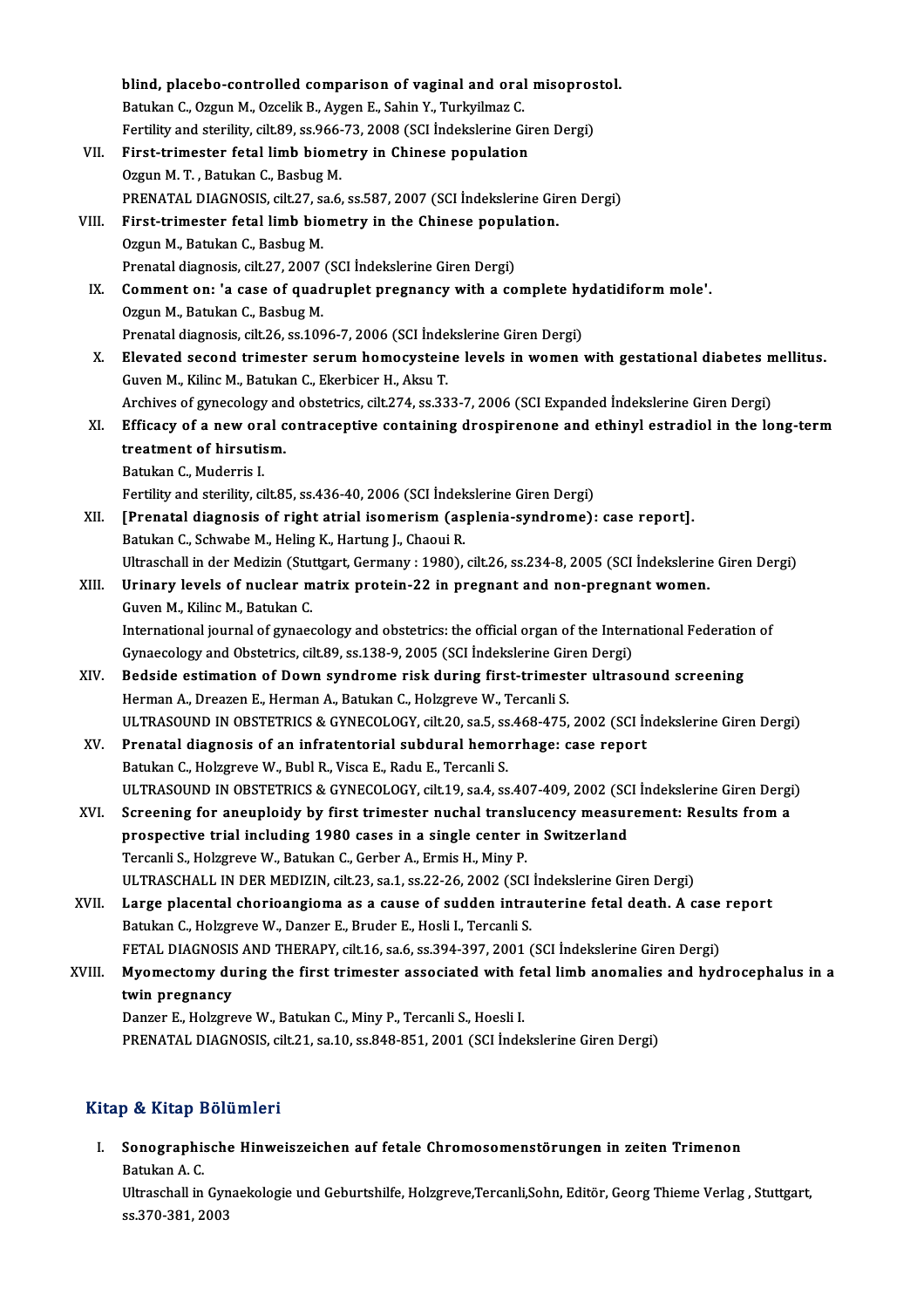|        | blind, placebo-controlled comparison of vaginal and oral misoprostol.                                         |
|--------|---------------------------------------------------------------------------------------------------------------|
|        | Batukan C., Ozgun M., Ozcelik B., Aygen E., Sahin Y., Turkyilmaz C.                                           |
|        | Fertility and sterility, cilt.89, ss.966-73, 2008 (SCI Indekslerine Giren Dergi)                              |
| VII.   | First-trimester fetal limb biometry in Chinese population                                                     |
|        | Ozgun M.T., Batukan C., Basbug M.                                                                             |
|        | PRENATAL DIAGNOSIS, cilt.27, sa.6, ss.587, 2007 (SCI İndekslerine Giren Dergi)                                |
| VIII.  | First-trimester fetal limb biometry in the Chinese population.                                                |
|        | Ozgun M., Batukan C., Basbug M.                                                                               |
|        | Prenatal diagnosis, cilt.27, 2007 (SCI Indekslerine Giren Dergi)                                              |
| IX.    | Comment on: 'a case of quadruplet pregnancy with a complete hydatidiform mole'.                               |
|        | Ozgun M., Batukan C., Basbug M.                                                                               |
|        | Prenatal diagnosis, cilt.26, ss.1096-7, 2006 (SCI İndekslerine Giren Dergi)                                   |
| X.     | Elevated second trimester serum homocysteine levels in women with gestational diabetes mellitus.              |
|        | Guven M., Kilinc M., Batukan C., Ekerbicer H., Aksu T.                                                        |
|        | Archives of gynecology and obstetrics, cilt.274, ss.333-7, 2006 (SCI Expanded İndekslerine Giren Dergi)       |
| XI.    | Efficacy of a new oral contraceptive containing drospirenone and ethinyl estradiol in the long-term           |
|        | treatment of hirsutism.                                                                                       |
|        | Batukan C., Muderris I.                                                                                       |
|        | Fertility and sterility, cilt.85, ss.436-40, 2006 (SCI Indekslerine Giren Dergi)                              |
| XII.   | [Prenatal diagnosis of right atrial isomerism (asplenia-syndrome): case report].                              |
|        | Batukan C., Schwabe M., Heling K., Hartung J., Chaoui R.                                                      |
|        | Ultraschall in der Medizin (Stuttgart, Germany: 1980), cilt.26, ss.234-8, 2005 (SCI İndekslerine Giren Dergi) |
| XIII.  | Urinary levels of nuclear matrix protein-22 in pregnant and non-pregnant women.                               |
|        | Guven M., Kilinc M., Batukan C.                                                                               |
|        | International journal of gynaecology and obstetrics: the official organ of the International Federation of    |
|        | Gynaecology and Obstetrics, cilt.89, ss.138-9, 2005 (SCI İndekslerine Giren Dergi)                            |
| XIV.   | Bedside estimation of Down syndrome risk during first-trimester ultrasound screening                          |
|        | Herman A., Dreazen E., Herman A., Batukan C., Holzgreve W., Tercanli S.                                       |
|        | ULTRASOUND IN OBSTETRICS & GYNECOLOGY, cilt.20, sa.5, ss.468-475, 2002 (SCI Indekslerine Giren Dergi)         |
| XV.    | Prenatal diagnosis of an infratentorial subdural hemorrhage: case report                                      |
|        | Batukan C., Holzgreve W., Bubl R., Visca E., Radu E., Tercanli S.                                             |
|        | ULTRASOUND IN OBSTETRICS & GYNECOLOGY, cilt.19, sa.4, ss.407-409, 2002 (SCI İndekslerine Giren Dergi)         |
| XVI.   | Screening for aneuploidy by first trimester nuchal translucency measurement: Results from a                   |
|        | prospective trial including 1980 cases in a single center in Switzerland                                      |
|        | Tercanli S., Holzgreve W., Batukan C., Gerber A., Ermis H., Miny P.                                           |
|        | ULTRASCHALL IN DER MEDIZIN, cilt.23, sa.1, ss.22-26, 2002 (SCI Indekslerine Giren Dergi)                      |
| XVII.  | Large placental chorioangioma as a cause of sudden intrauterine fetal death. A case report                    |
|        | Batukan C., Holzgreve W., Danzer E., Bruder E., Hosli I., Tercanli S.                                         |
|        | FETAL DIAGNOSIS AND THERAPY, cilt.16, sa.6, ss.394-397, 2001 (SCI Indekslerine Giren Dergi)                   |
| XVIII. | Myomectomy during the first trimester associated with fetal limb anomalies and hydrocephalus in a             |
|        | twin pregnancy                                                                                                |
|        | Danzer E., Holzgreve W., Batukan C., Miny P., Tercanli S., Hoesli I.                                          |
|        | PRENATAL DIAGNOSIS, cilt.21, sa.10, ss.848-851, 2001 (SCI Indekslerine Giren Dergi)                           |

# Kitap & Kitap Bölümleri

itap & Kitap Bölümleri<br>I. Sonographische Hinweiszeichen auf fetale Chromosomenstörungen in zeiten Trimenon<br>Ratukan A.C. p & Http<br>Sonographis<br>Batukan A. C.<br>Ultreechell in Sonographische Hinweiszeichen auf fetale Chromosomenstörungen in zeiten Trimenon<br>Batukan A. C.<br>Ultraschall in Gynaekologie und Geburtshilfe, Holzgreve,Tercanli,Sohn, Editör, Georg Thieme Verlag , Stuttgart,

Batukan A. C.<br>Ultraschall in Gyn<br>ss.370-381, 2003